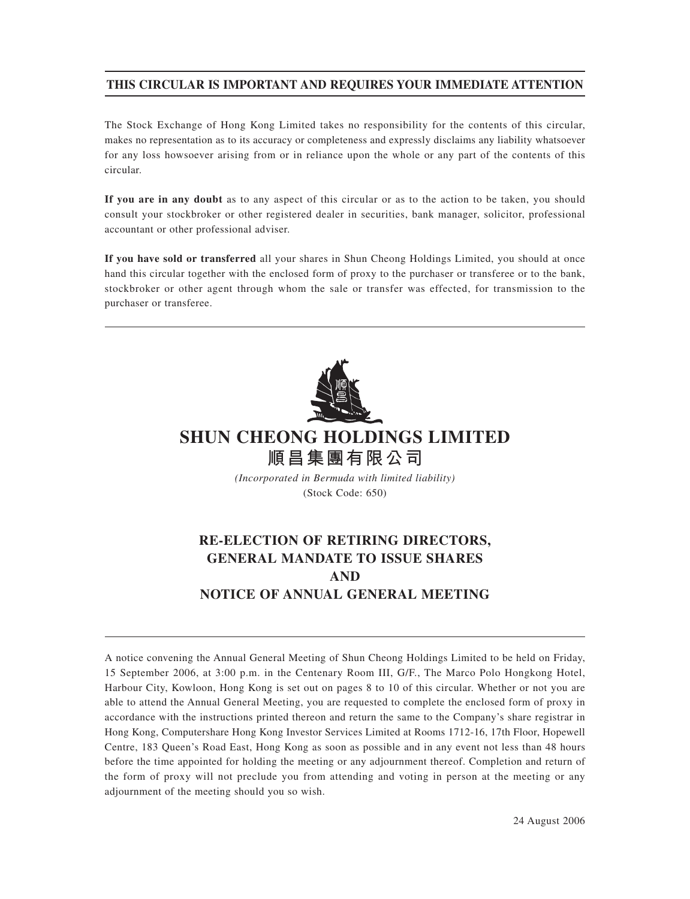# **THIS CIRCULAR IS IMPORTANT AND REQUIRES YOUR IMMEDIATE ATTENTION**

The Stock Exchange of Hong Kong Limited takes no responsibility for the contents of this circular, makes no representation as to its accuracy or completeness and expressly disclaims any liability whatsoever for any loss howsoever arising from or in reliance upon the whole or any part of the contents of this circular.

**If you are in any doubt** as to any aspect of this circular or as to the action to be taken, you should consult your stockbroker or other registered dealer in securities, bank manager, solicitor, professional accountant or other professional adviser.

**If you have sold or transferred** all your shares in Shun Cheong Holdings Limited, you should at once hand this circular together with the enclosed form of proxy to the purchaser or transferee or to the bank, stockbroker or other agent through whom the sale or transfer was effected, for transmission to the purchaser or transferee.



# **SHUN CHEONG HOLDINGS LIMITED 順昌集團有限公司**

*(Incorporated in Bermuda with limited liability)* (Stock Code: 650)

# **RE-ELECTION OF RETIRING DIRECTORS, GENERAL MANDATE TO ISSUE SHARES AND NOTICE OF ANNUAL GENERAL MEETING**

A notice convening the Annual General Meeting of Shun Cheong Holdings Limited to be held on Friday, 15 September 2006, at 3:00 p.m. in the Centenary Room III, G/F., The Marco Polo Hongkong Hotel, Harbour City, Kowloon, Hong Kong is set out on pages 8 to 10 of this circular. Whether or not you are able to attend the Annual General Meeting, you are requested to complete the enclosed form of proxy in accordance with the instructions printed thereon and return the same to the Company's share registrar in Hong Kong, Computershare Hong Kong Investor Services Limited at Rooms 1712-16, 17th Floor, Hopewell Centre, 183 Queen's Road East, Hong Kong as soon as possible and in any event not less than 48 hours before the time appointed for holding the meeting or any adjournment thereof. Completion and return of the form of proxy will not preclude you from attending and voting in person at the meeting or any adjournment of the meeting should you so wish.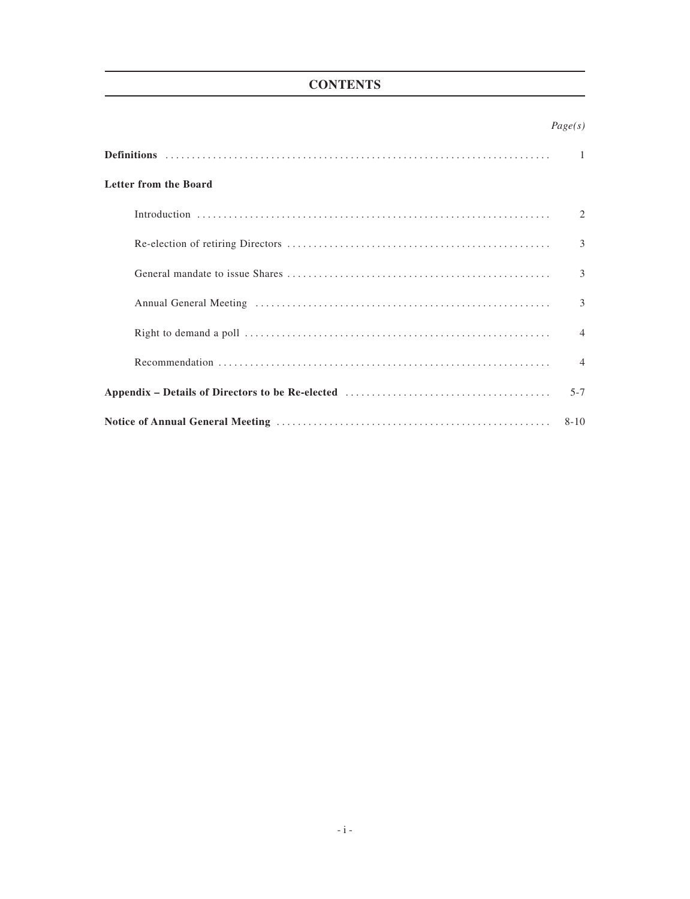# **CONTENTS**

|                              | Page(s)        |
|------------------------------|----------------|
|                              | $\mathbf{1}$   |
| <b>Letter from the Board</b> |                |
|                              | 2              |
|                              | 3              |
|                              | 3              |
|                              | 3              |
|                              | $\overline{4}$ |
|                              | $\overline{4}$ |
| $5 - 7$                      |                |
| $8 - 10$                     |                |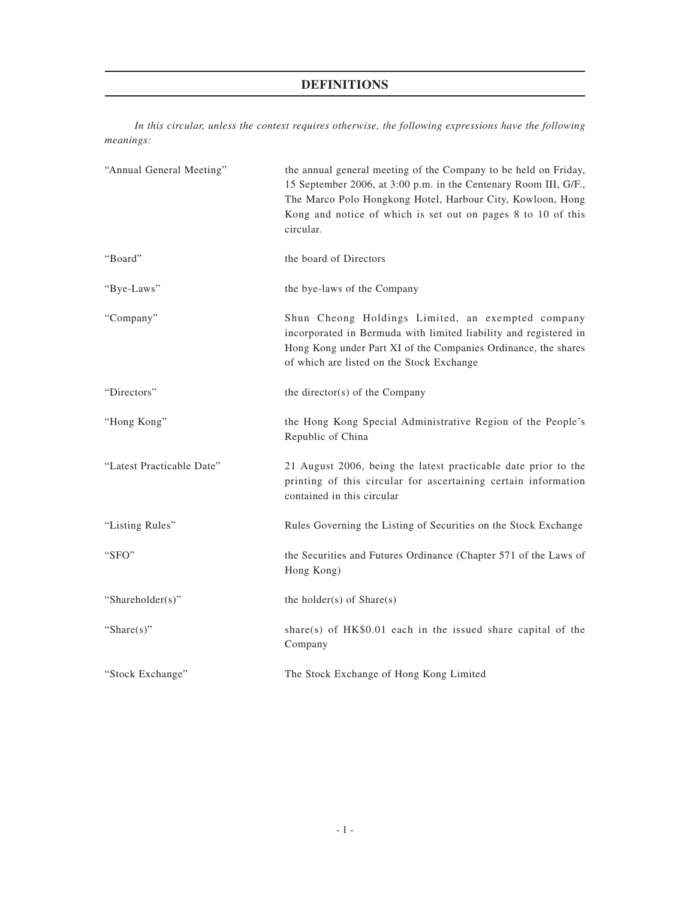# **DEFINITIONS**

*In this circular, unless the context requires otherwise, the following expressions have the following meanings:*

| "Annual General Meeting"  | the annual general meeting of the Company to be held on Friday,<br>15 September 2006, at 3:00 p.m. in the Centenary Room III, G/F.,<br>The Marco Polo Hongkong Hotel, Harbour City, Kowloon, Hong<br>Kong and notice of which is set out on pages 8 to 10 of this<br>circular. |
|---------------------------|--------------------------------------------------------------------------------------------------------------------------------------------------------------------------------------------------------------------------------------------------------------------------------|
| "Board"                   | the board of Directors                                                                                                                                                                                                                                                         |
| "Bye-Laws"                | the bye-laws of the Company                                                                                                                                                                                                                                                    |
| "Company"                 | Shun Cheong Holdings Limited, an exempted company<br>incorporated in Bermuda with limited liability and registered in<br>Hong Kong under Part XI of the Companies Ordinance, the shares<br>of which are listed on the Stock Exchange                                           |
| "Directors"               | the director(s) of the Company                                                                                                                                                                                                                                                 |
| "Hong Kong"               | the Hong Kong Special Administrative Region of the People's<br>Republic of China                                                                                                                                                                                               |
| "Latest Practicable Date" | 21 August 2006, being the latest practicable date prior to the<br>printing of this circular for ascertaining certain information<br>contained in this circular                                                                                                                 |
| "Listing Rules"           | Rules Governing the Listing of Securities on the Stock Exchange                                                                                                                                                                                                                |
| "SFO"                     | the Securities and Futures Ordinance (Chapter 571 of the Laws of<br>Hong Kong)                                                                                                                                                                                                 |
| "Shareholder(s)"          | the holder( $s$ ) of Share( $s$ )                                                                                                                                                                                                                                              |
| "Share $(s)$ "            | share(s) of $HK$0.01$ each in the issued share capital of the<br>Company                                                                                                                                                                                                       |
| "Stock Exchange"          | The Stock Exchange of Hong Kong Limited                                                                                                                                                                                                                                        |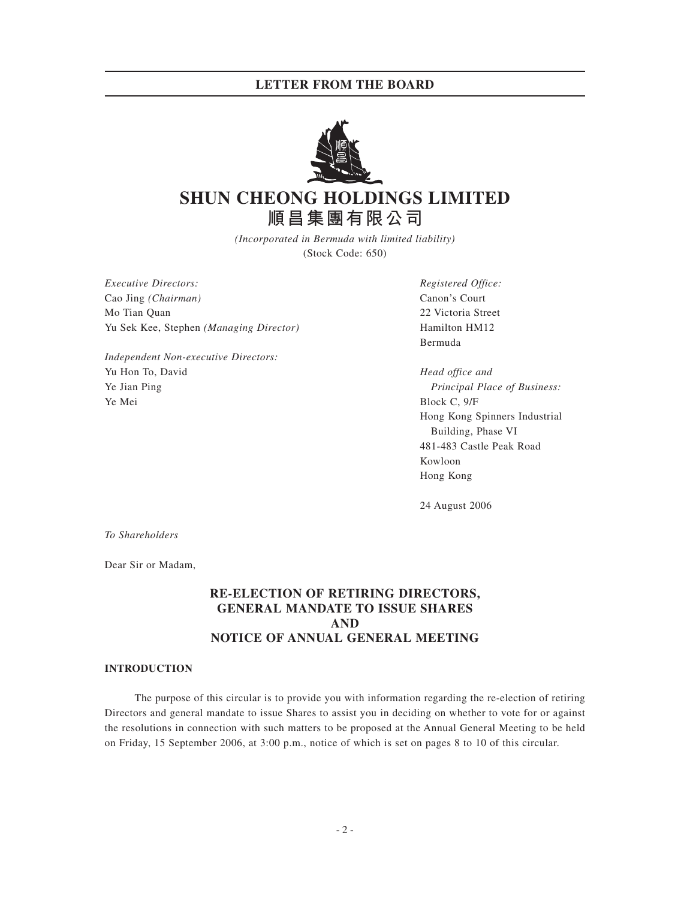## **LETTER FROM THE BOARD**



# **SHUN CHEONG HOLDINGS LIMITED 順昌集團有限公司**

*(Incorporated in Bermuda with limited liability)* (Stock Code: 650)

*Executive Directors: Registered Office:* Cao Jing *(Chairman)* Canon's Court Mo Tian Quan 22 Victoria Street Yu Sek Kee, Stephen *(Managing Director)* Hamilton HM12

*Independent Non-executive Directors:* Yu Hon To, David *Head office and* Ye Jian Ping *Principal Place of Business:* Ye Mei Block C, 9/F

Bermuda

Hong Kong Spinners Industrial Building, Phase VI 481-483 Castle Peak Road Kowloon Hong Kong

24 August 2006

*To Shareholders*

Dear Sir or Madam,

# **RE-ELECTION OF RETIRING DIRECTORS, GENERAL MANDATE TO ISSUE SHARES AND NOTICE OF ANNUAL GENERAL MEETING**

#### **INTRODUCTION**

The purpose of this circular is to provide you with information regarding the re-election of retiring Directors and general mandate to issue Shares to assist you in deciding on whether to vote for or against the resolutions in connection with such matters to be proposed at the Annual General Meeting to be held on Friday, 15 September 2006, at 3:00 p.m., notice of which is set on pages 8 to 10 of this circular.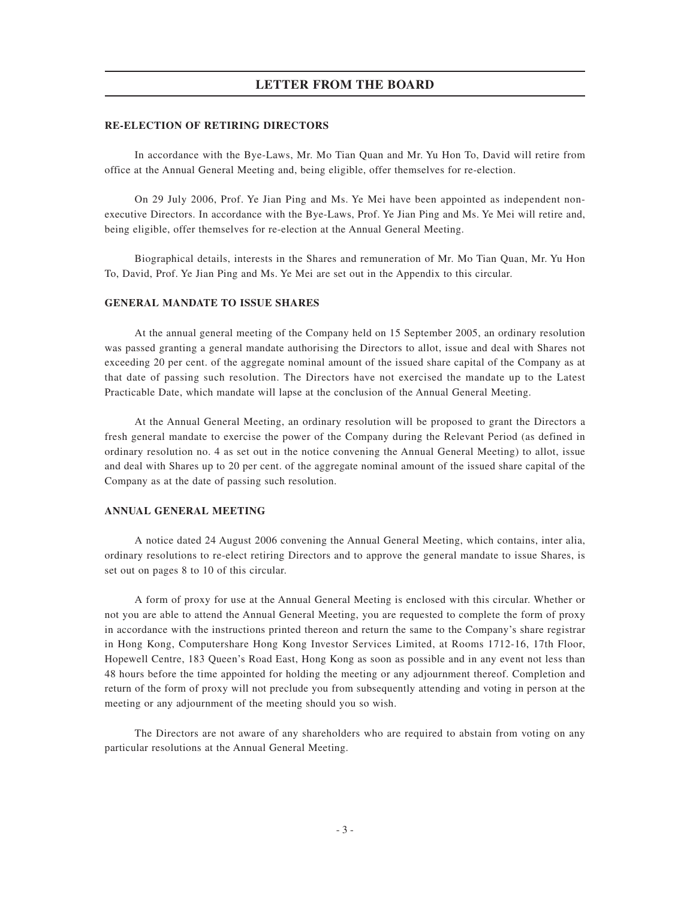### **LETTER FROM THE BOARD**

#### **RE-ELECTION OF RETIRING DIRECTORS**

In accordance with the Bye-Laws, Mr. Mo Tian Quan and Mr. Yu Hon To, David will retire from office at the Annual General Meeting and, being eligible, offer themselves for re-election.

On 29 July 2006, Prof. Ye Jian Ping and Ms. Ye Mei have been appointed as independent nonexecutive Directors. In accordance with the Bye-Laws, Prof. Ye Jian Ping and Ms. Ye Mei will retire and, being eligible, offer themselves for re-election at the Annual General Meeting.

Biographical details, interests in the Shares and remuneration of Mr. Mo Tian Quan, Mr. Yu Hon To, David, Prof. Ye Jian Ping and Ms. Ye Mei are set out in the Appendix to this circular.

#### **GENERAL MANDATE TO ISSUE SHARES**

At the annual general meeting of the Company held on 15 September 2005, an ordinary resolution was passed granting a general mandate authorising the Directors to allot, issue and deal with Shares not exceeding 20 per cent. of the aggregate nominal amount of the issued share capital of the Company as at that date of passing such resolution. The Directors have not exercised the mandate up to the Latest Practicable Date, which mandate will lapse at the conclusion of the Annual General Meeting.

At the Annual General Meeting, an ordinary resolution will be proposed to grant the Directors a fresh general mandate to exercise the power of the Company during the Relevant Period (as defined in ordinary resolution no. 4 as set out in the notice convening the Annual General Meeting) to allot, issue and deal with Shares up to 20 per cent. of the aggregate nominal amount of the issued share capital of the Company as at the date of passing such resolution.

#### **ANNUAL GENERAL MEETING**

A notice dated 24 August 2006 convening the Annual General Meeting, which contains, inter alia, ordinary resolutions to re-elect retiring Directors and to approve the general mandate to issue Shares, is set out on pages 8 to 10 of this circular.

A form of proxy for use at the Annual General Meeting is enclosed with this circular. Whether or not you are able to attend the Annual General Meeting, you are requested to complete the form of proxy in accordance with the instructions printed thereon and return the same to the Company's share registrar in Hong Kong, Computershare Hong Kong Investor Services Limited, at Rooms 1712-16, 17th Floor, Hopewell Centre, 183 Queen's Road East, Hong Kong as soon as possible and in any event not less than 48 hours before the time appointed for holding the meeting or any adjournment thereof. Completion and return of the form of proxy will not preclude you from subsequently attending and voting in person at the meeting or any adjournment of the meeting should you so wish.

The Directors are not aware of any shareholders who are required to abstain from voting on any particular resolutions at the Annual General Meeting.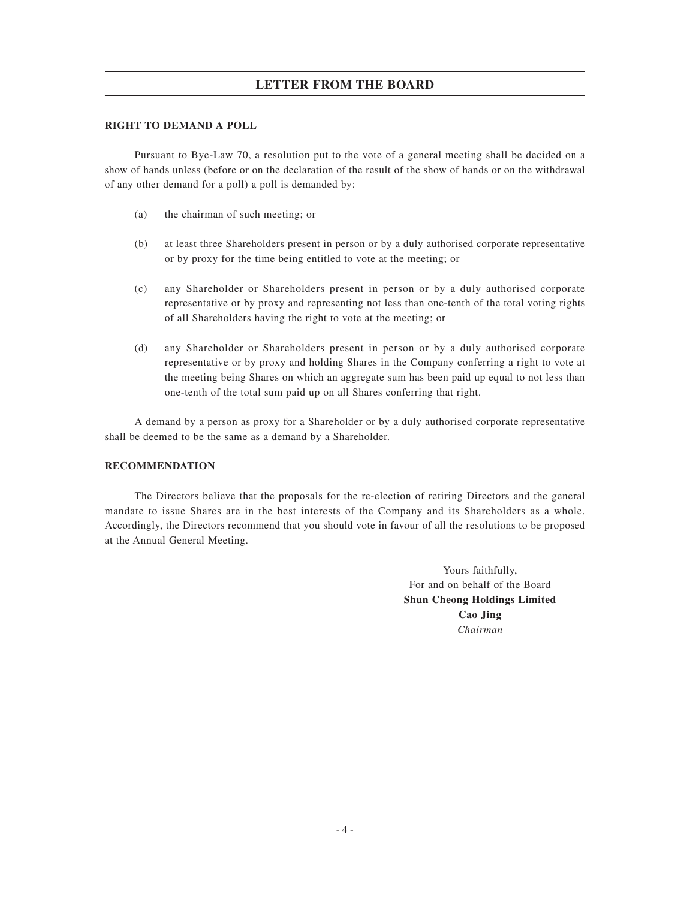# **LETTER FROM THE BOARD**

### **RIGHT TO DEMAND A POLL**

Pursuant to Bye-Law 70, a resolution put to the vote of a general meeting shall be decided on a show of hands unless (before or on the declaration of the result of the show of hands or on the withdrawal of any other demand for a poll) a poll is demanded by:

- (a) the chairman of such meeting; or
- (b) at least three Shareholders present in person or by a duly authorised corporate representative or by proxy for the time being entitled to vote at the meeting; or
- (c) any Shareholder or Shareholders present in person or by a duly authorised corporate representative or by proxy and representing not less than one-tenth of the total voting rights of all Shareholders having the right to vote at the meeting; or
- (d) any Shareholder or Shareholders present in person or by a duly authorised corporate representative or by proxy and holding Shares in the Company conferring a right to vote at the meeting being Shares on which an aggregate sum has been paid up equal to not less than one-tenth of the total sum paid up on all Shares conferring that right.

A demand by a person as proxy for a Shareholder or by a duly authorised corporate representative shall be deemed to be the same as a demand by a Shareholder.

### **RECOMMENDATION**

The Directors believe that the proposals for the re-election of retiring Directors and the general mandate to issue Shares are in the best interests of the Company and its Shareholders as a whole. Accordingly, the Directors recommend that you should vote in favour of all the resolutions to be proposed at the Annual General Meeting.

> Yours faithfully, For and on behalf of the Board **Shun Cheong Holdings Limited Cao Jing** *Chairman*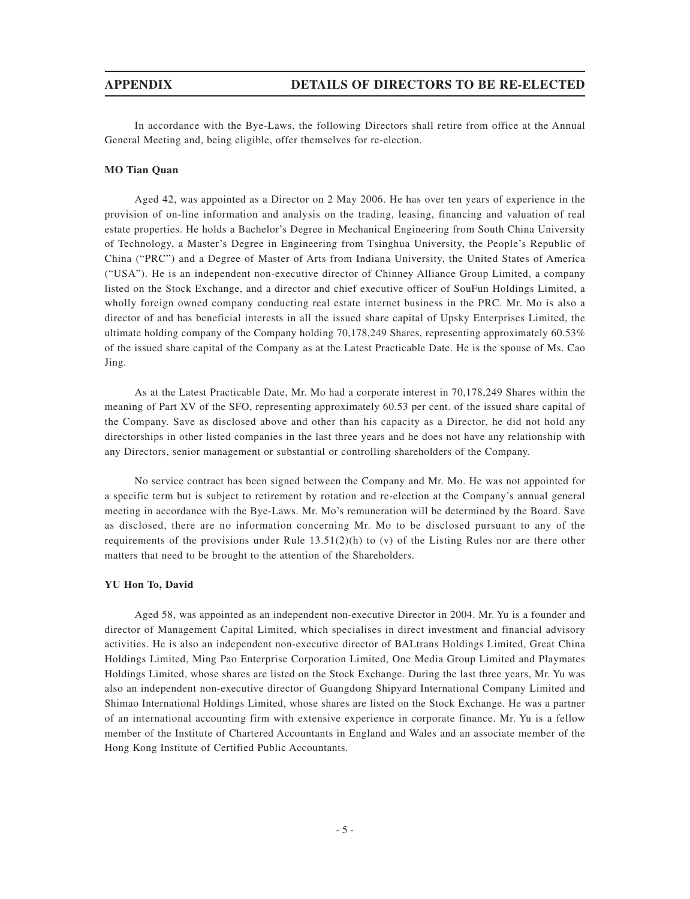In accordance with the Bye-Laws, the following Directors shall retire from office at the Annual General Meeting and, being eligible, offer themselves for re-election.

#### **MO Tian Quan**

Aged 42, was appointed as a Director on 2 May 2006. He has over ten years of experience in the provision of on-line information and analysis on the trading, leasing, financing and valuation of real estate properties. He holds a Bachelor's Degree in Mechanical Engineering from South China University of Technology, a Master's Degree in Engineering from Tsinghua University, the People's Republic of China ("PRC") and a Degree of Master of Arts from Indiana University, the United States of America ("USA"). He is an independent non-executive director of Chinney Alliance Group Limited, a company listed on the Stock Exchange, and a director and chief executive officer of SouFun Holdings Limited, a wholly foreign owned company conducting real estate internet business in the PRC. Mr. Mo is also a director of and has beneficial interests in all the issued share capital of Upsky Enterprises Limited, the ultimate holding company of the Company holding 70,178,249 Shares, representing approximately 60.53% of the issued share capital of the Company as at the Latest Practicable Date. He is the spouse of Ms. Cao Jing.

As at the Latest Practicable Date, Mr. Mo had a corporate interest in 70,178,249 Shares within the meaning of Part XV of the SFO, representing approximately 60.53 per cent. of the issued share capital of the Company. Save as disclosed above and other than his capacity as a Director, he did not hold any directorships in other listed companies in the last three years and he does not have any relationship with any Directors, senior management or substantial or controlling shareholders of the Company.

No service contract has been signed between the Company and Mr. Mo. He was not appointed for a specific term but is subject to retirement by rotation and re-election at the Company's annual general meeting in accordance with the Bye-Laws. Mr. Mo's remuneration will be determined by the Board. Save as disclosed, there are no information concerning Mr. Mo to be disclosed pursuant to any of the requirements of the provisions under Rule 13.51(2)(h) to (v) of the Listing Rules nor are there other matters that need to be brought to the attention of the Shareholders.

### **YU Hon To, David**

Aged 58, was appointed as an independent non-executive Director in 2004. Mr. Yu is a founder and director of Management Capital Limited, which specialises in direct investment and financial advisory activities. He is also an independent non-executive director of BALtrans Holdings Limited, Great China Holdings Limited, Ming Pao Enterprise Corporation Limited, One Media Group Limited and Playmates Holdings Limited, whose shares are listed on the Stock Exchange. During the last three years, Mr. Yu was also an independent non-executive director of Guangdong Shipyard International Company Limited and Shimao International Holdings Limited, whose shares are listed on the Stock Exchange. He was a partner of an international accounting firm with extensive experience in corporate finance. Mr. Yu is a fellow member of the Institute of Chartered Accountants in England and Wales and an associate member of the Hong Kong Institute of Certified Public Accountants.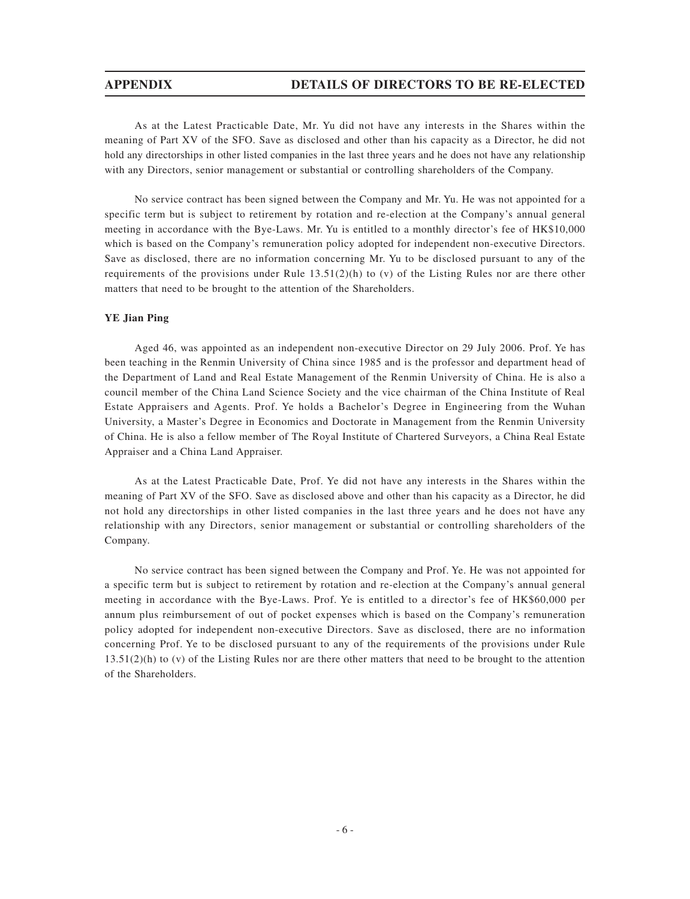# **APPENDIX DETAILS OF DIRECTORS TO BE RE-ELECTED**

As at the Latest Practicable Date, Mr. Yu did not have any interests in the Shares within the meaning of Part XV of the SFO. Save as disclosed and other than his capacity as a Director, he did not hold any directorships in other listed companies in the last three years and he does not have any relationship with any Directors, senior management or substantial or controlling shareholders of the Company.

No service contract has been signed between the Company and Mr. Yu. He was not appointed for a specific term but is subject to retirement by rotation and re-election at the Company's annual general meeting in accordance with the Bye-Laws. Mr. Yu is entitled to a monthly director's fee of HK\$10,000 which is based on the Company's remuneration policy adopted for independent non-executive Directors. Save as disclosed, there are no information concerning Mr. Yu to be disclosed pursuant to any of the requirements of the provisions under Rule  $13.51(2)(h)$  to (v) of the Listing Rules nor are there other matters that need to be brought to the attention of the Shareholders.

### **YE Jian Ping**

Aged 46, was appointed as an independent non-executive Director on 29 July 2006. Prof. Ye has been teaching in the Renmin University of China since 1985 and is the professor and department head of the Department of Land and Real Estate Management of the Renmin University of China. He is also a council member of the China Land Science Society and the vice chairman of the China Institute of Real Estate Appraisers and Agents. Prof. Ye holds a Bachelor's Degree in Engineering from the Wuhan University, a Master's Degree in Economics and Doctorate in Management from the Renmin University of China. He is also a fellow member of The Royal Institute of Chartered Surveyors, a China Real Estate Appraiser and a China Land Appraiser.

As at the Latest Practicable Date, Prof. Ye did not have any interests in the Shares within the meaning of Part XV of the SFO. Save as disclosed above and other than his capacity as a Director, he did not hold any directorships in other listed companies in the last three years and he does not have any relationship with any Directors, senior management or substantial or controlling shareholders of the Company.

No service contract has been signed between the Company and Prof. Ye. He was not appointed for a specific term but is subject to retirement by rotation and re-election at the Company's annual general meeting in accordance with the Bye-Laws. Prof. Ye is entitled to a director's fee of HK\$60,000 per annum plus reimbursement of out of pocket expenses which is based on the Company's remuneration policy adopted for independent non-executive Directors. Save as disclosed, there are no information concerning Prof. Ye to be disclosed pursuant to any of the requirements of the provisions under Rule 13.51(2)(h) to (v) of the Listing Rules nor are there other matters that need to be brought to the attention of the Shareholders.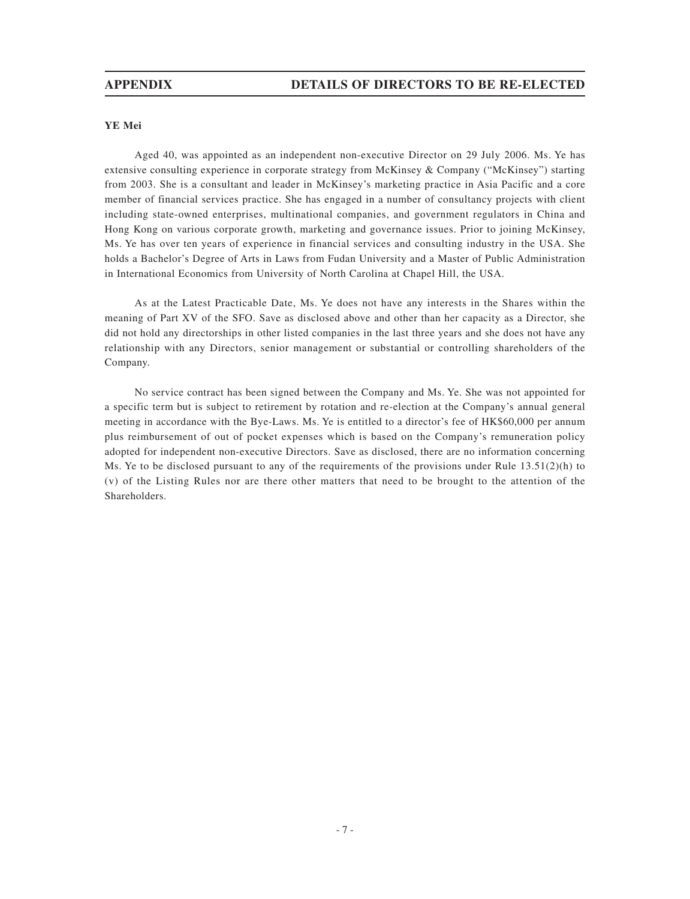### **YE Mei**

Aged 40, was appointed as an independent non-executive Director on 29 July 2006. Ms. Ye has extensive consulting experience in corporate strategy from McKinsey & Company ("McKinsey") starting from 2003. She is a consultant and leader in McKinsey's marketing practice in Asia Pacific and a core member of financial services practice. She has engaged in a number of consultancy projects with client including state-owned enterprises, multinational companies, and government regulators in China and Hong Kong on various corporate growth, marketing and governance issues. Prior to joining McKinsey, Ms. Ye has over ten years of experience in financial services and consulting industry in the USA. She holds a Bachelor's Degree of Arts in Laws from Fudan University and a Master of Public Administration in International Economics from University of North Carolina at Chapel Hill, the USA.

As at the Latest Practicable Date, Ms. Ye does not have any interests in the Shares within the meaning of Part XV of the SFO. Save as disclosed above and other than her capacity as a Director, she did not hold any directorships in other listed companies in the last three years and she does not have any relationship with any Directors, senior management or substantial or controlling shareholders of the Company.

No service contract has been signed between the Company and Ms. Ye. She was not appointed for a specific term but is subject to retirement by rotation and re-election at the Company's annual general meeting in accordance with the Bye-Laws. Ms. Ye is entitled to a director's fee of HK\$60,000 per annum plus reimbursement of out of pocket expenses which is based on the Company's remuneration policy adopted for independent non-executive Directors. Save as disclosed, there are no information concerning Ms. Ye to be disclosed pursuant to any of the requirements of the provisions under Rule  $13.51(2)(h)$  to (v) of the Listing Rules nor are there other matters that need to be brought to the attention of the Shareholders.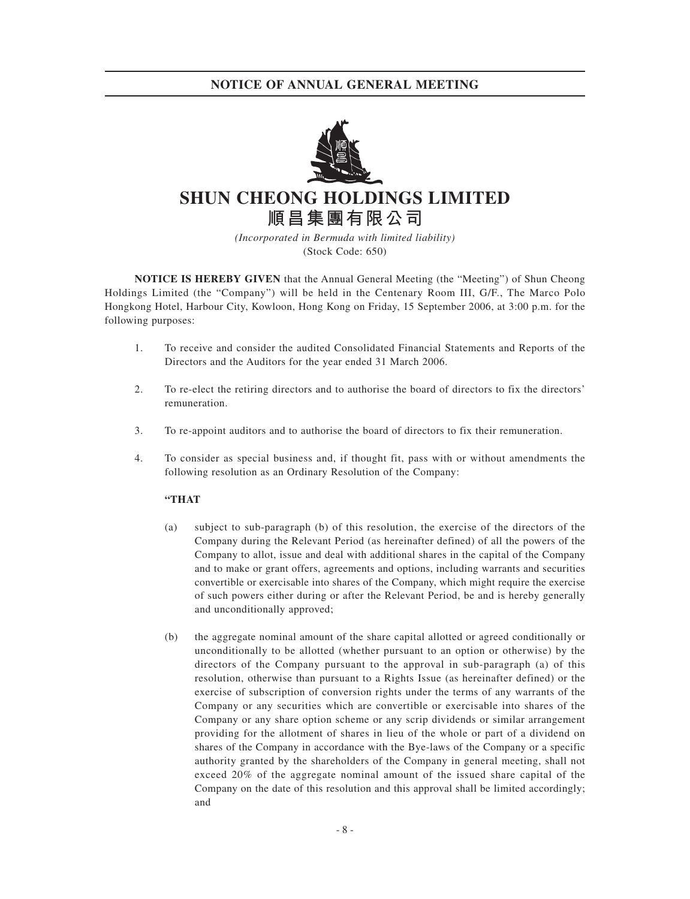# **NOTICE OF ANNUAL GENERAL MEETING**



**SHUN CHEONG HOLDINGS LIMITED 順昌集團有限公司**

> *(Incorporated in Bermuda with limited liability)* (Stock Code: 650)

**NOTICE IS HEREBY GIVEN** that the Annual General Meeting (the "Meeting") of Shun Cheong Holdings Limited (the "Company") will be held in the Centenary Room III, G/F., The Marco Polo Hongkong Hotel, Harbour City, Kowloon, Hong Kong on Friday, 15 September 2006, at 3:00 p.m. for the following purposes:

- 1. To receive and consider the audited Consolidated Financial Statements and Reports of the Directors and the Auditors for the year ended 31 March 2006.
- 2. To re-elect the retiring directors and to authorise the board of directors to fix the directors' remuneration.
- 3. To re-appoint auditors and to authorise the board of directors to fix their remuneration.
- 4. To consider as special business and, if thought fit, pass with or without amendments the following resolution as an Ordinary Resolution of the Company:

### **"THAT**

- (a) subject to sub-paragraph (b) of this resolution, the exercise of the directors of the Company during the Relevant Period (as hereinafter defined) of all the powers of the Company to allot, issue and deal with additional shares in the capital of the Company and to make or grant offers, agreements and options, including warrants and securities convertible or exercisable into shares of the Company, which might require the exercise of such powers either during or after the Relevant Period, be and is hereby generally and unconditionally approved;
- (b) the aggregate nominal amount of the share capital allotted or agreed conditionally or unconditionally to be allotted (whether pursuant to an option or otherwise) by the directors of the Company pursuant to the approval in sub-paragraph (a) of this resolution, otherwise than pursuant to a Rights Issue (as hereinafter defined) or the exercise of subscription of conversion rights under the terms of any warrants of the Company or any securities which are convertible or exercisable into shares of the Company or any share option scheme or any scrip dividends or similar arrangement providing for the allotment of shares in lieu of the whole or part of a dividend on shares of the Company in accordance with the Bye-laws of the Company or a specific authority granted by the shareholders of the Company in general meeting, shall not exceed 20% of the aggregate nominal amount of the issued share capital of the Company on the date of this resolution and this approval shall be limited accordingly; and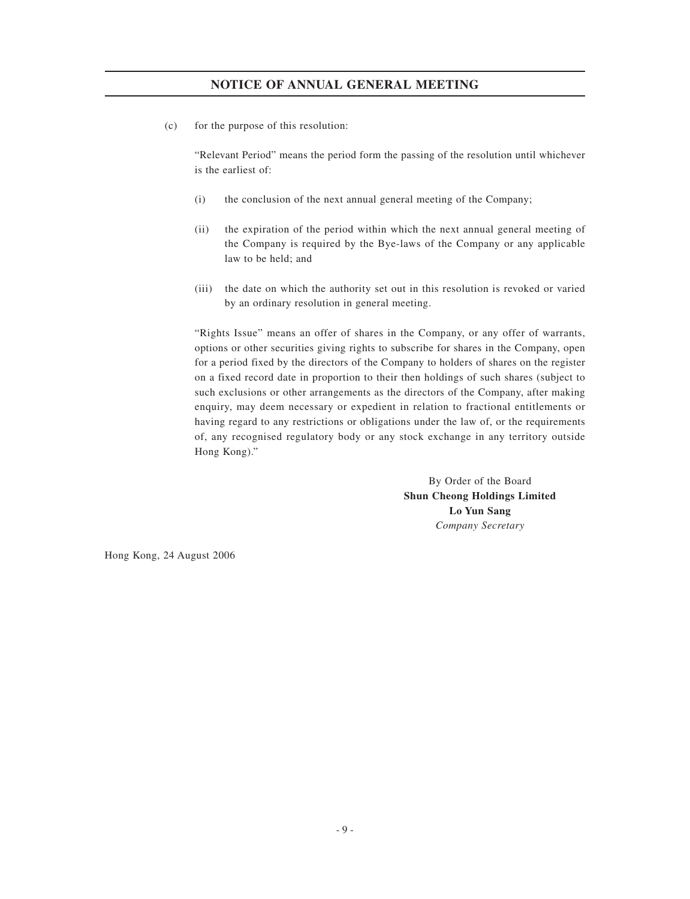# **NOTICE OF ANNUAL GENERAL MEETING**

(c) for the purpose of this resolution:

"Relevant Period" means the period form the passing of the resolution until whichever is the earliest of:

- (i) the conclusion of the next annual general meeting of the Company;
- (ii) the expiration of the period within which the next annual general meeting of the Company is required by the Bye-laws of the Company or any applicable law to be held; and
- (iii) the date on which the authority set out in this resolution is revoked or varied by an ordinary resolution in general meeting.

"Rights Issue" means an offer of shares in the Company, or any offer of warrants, options or other securities giving rights to subscribe for shares in the Company, open for a period fixed by the directors of the Company to holders of shares on the register on a fixed record date in proportion to their then holdings of such shares (subject to such exclusions or other arrangements as the directors of the Company, after making enquiry, may deem necessary or expedient in relation to fractional entitlements or having regard to any restrictions or obligations under the law of, or the requirements of, any recognised regulatory body or any stock exchange in any territory outside Hong Kong)."

> By Order of the Board **Shun Cheong Holdings Limited Lo Yun Sang** *Company Secretary*

Hong Kong, 24 August 2006